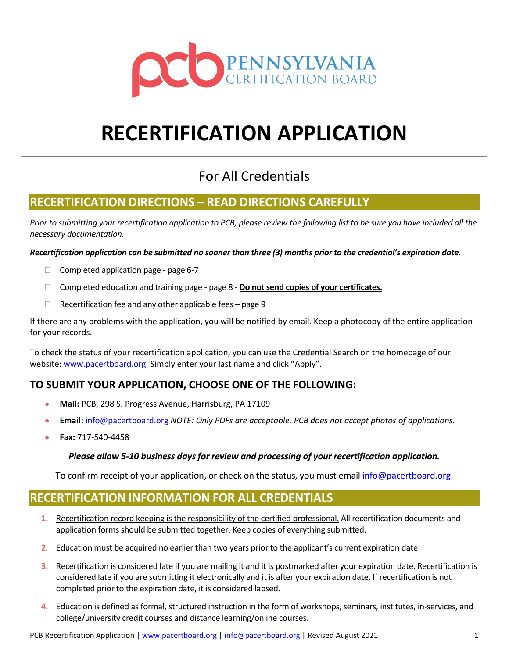

# **RECERTIFICATION APPLICATION**

## For All Credentials

## **RECERTIFICATION DIRECTIONS – READ DIRECTIONS CAREFULLY**

*Prior to submitting your recertification application to PCB, please review the following list to be sure you have included all the necessary documentation.*

*Recertification application can be submitted no sooner than three (3) months prior to the credential's expiration date.*

- $\Box$  Completed application page page 6-7
- Completed education and training page page 8 **Do not send copies of your certificates.**
- $\Box$  Recertification fee and any other applicable fees page 9

If there are any problems with the application, you will be notified by email. Keep a photocopy of the entire application for your records.

To check the status of your recertification application, you can use the Credential Search on the homepage of our website: www.pacertboard.org. Simply enter your last name and click "Apply".

## **TO SUBMIT YOUR APPLICATION, CHOOSE ONE OF THE FOLLOWING:**

- **Mail:** PCB, 298 S. Progress Avenue, Harrisburg, PA 17109
- **Email:** info@pacertboard.org *NOTE: Only PDFs are acceptable. PCB does not accept photos of applications.*
- **Fax:** 717-540-4458

## *Please allow 5-10 business days for review and processing of your recertification application.*

To confirm receipt of your application, or check on the status, you must email info@pacertboard.org.

## **RECERTIFICATION INFORMATION FOR ALL CREDENTIALS**

- **1.** Recertification record keeping is the responsibility of the certified professional. All recertification documents and application forms should be submitted together. Keep copies of everything submitted.
- **2.** Education must be acquired no earlier than two years prior to the applicant's current expiration date.
- **3.** Recertification is considered late if you are mailing it and it is postmarked after your expiration date. Recertification is considered late if you are submitting it electronically and it is after your expiration date. If recertification is not completed prior to the expiration date, it is considered lapsed.
- **4.** Education is defined as formal, structured instruction in the form of workshops, seminars, institutes, in-services, and college/university credit courses and distance learning/online courses.

PCB Recertification Application | www.pacertboard.org | info@pacertboard.org | Revised August 2021 1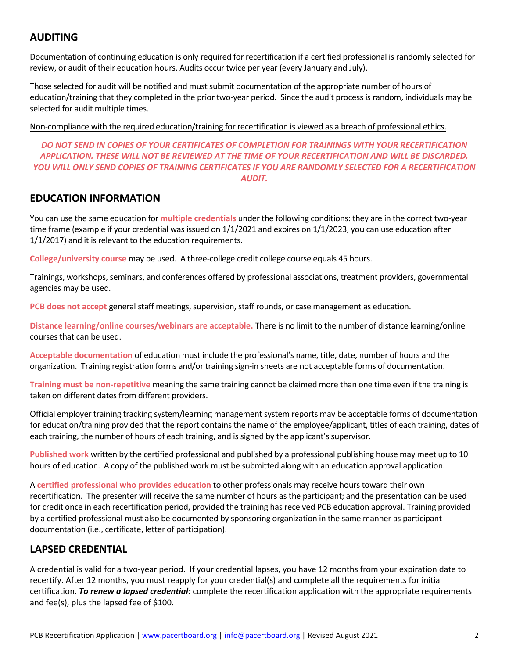## **AUDITING**

Documentation of continuing education is only required for recertification if a certified professional is randomly selected for review, or audit of their education hours. Audits occur twice per year (every January and July).

Those selected for audit will be notified and must submit documentation of the appropriate number of hours of education/training that they completed in the prior two-year period. Since the audit process is random, individuals may be selected for audit multiple times.

Non-compliance with the required education/training for recertification is viewed as a breach of professional ethics.

### *DO NOT SEND IN COPIES OF YOUR CERTIFICATES OF COMPLETION FOR TRAININGS WITH YOUR RECERTIFICATION APPLICATION. THESE WILL NOT BE REVIEWED AT THE TIME OF YOUR RECERTIFICATION AND WILL BE DISCARDED. YOU WILL ONLY SEND COPIES OF TRAINING CERTIFICATES IF YOU ARE RANDOMLY SELECTED FOR A RECERTIFICATION AUDIT.*

## **EDUCATION INFORMATION**

You can use the same education for **multiple credentials** under the following conditions: they are in the correct two-year time frame (example if your credential was issued on 1/1/2021 and expires on 1/1/2023, you can use education after 1/1/2017) and it is relevant to the education requirements.

**College/university course** may be used. A three-college credit college course equals 45 hours.

Trainings, workshops, seminars, and conferences offered by professional associations, treatment providers, governmental agencies may be used.

**PCB does not accept** general staff meetings, supervision, staff rounds, or case management as education.

**Distance learning/online courses/webinars are acceptable.** There is no limit to the number of distance learning/online courses that can be used.

**Acceptable documentation** of education must include the professional's name, title, date, number of hours and the organization. Training registration forms and/or training sign-in sheets are not acceptable forms of documentation.

**Training must be non-repetitive** meaning the same training cannot be claimed more than one time even if the training is taken on different dates from different providers.

Official employer training tracking system/learning management system reports may be acceptable forms of documentation for education/training provided that the report contains the name of the employee/applicant, titles of each training, dates of each training, the number of hours of each training, and is signed by the applicant's supervisor.

**Published work** written by the certified professional and published by a professional publishing house may meet up to 10 hours of education. A copy of the published work must be submitted along with an education approval application.

A **certified professional who provides education** to other professionals may receive hours toward their own recertification. The presenter will receive the same number of hours as the participant; and the presentation can be used for credit once in each recertification period, provided the training has received PCB education approval. Training provided by a certified professional must also be documented by sponsoring organization in the same manner as participant documentation (i.e., certificate, letter of participation).

## **LAPSED CREDENTIAL**

A credential is valid for a two-year period. If your credential lapses, you have 12 months from your expiration date to recertify. After 12 months, you must reapply for your credential(s) and complete all the requirements for initial certification. *To renew a lapsed credential:* complete the recertification application with the appropriate requirements and fee(s), plus the lapsed fee of \$100.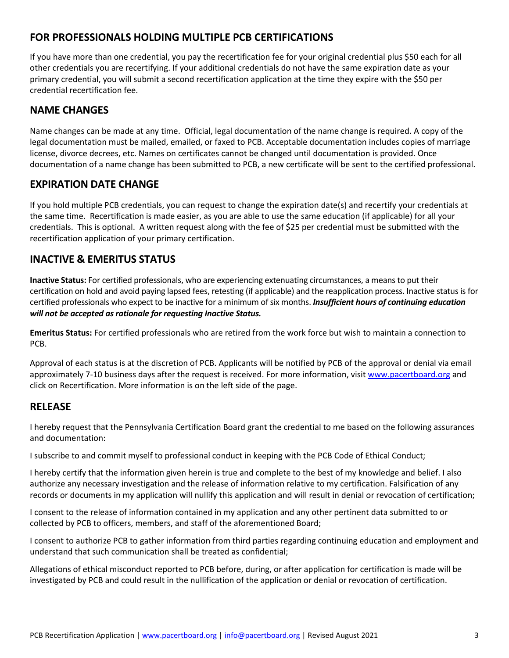## **FOR PROFESSIONALS HOLDING MULTIPLE PCB CERTIFICATIONS**

If you have more than one credential, you pay the recertification fee for your original credential plus \$50 each for all other credentials you are recertifying. If your additional credentials do not have the same expiration date as your primary credential, you will submit a second recertification application at the time they expire with the \$50 per credential recertification fee.

## **NAME CHANGES**

Name changes can be made at any time. Official, legal documentation of the name change is required. A copy of the legal documentation must be mailed, emailed, or faxed to PCB. Acceptable documentation includes copies of marriage license, divorce decrees, etc. Names on certificates cannot be changed until documentation is provided. Once documentation of a name change has been submitted to PCB, a new certificate will be sent to the certified professional.

## **EXPIRATION DATE CHANGE**

If you hold multiple PCB credentials, you can request to change the expiration date(s) and recertify your credentials at the same time. Recertification is made easier, as you are able to use the same education (if applicable) for all your credentials. This is optional. A written request along with the fee of \$25 per credential must be submitted with the recertification application of your primary certification.

## **INACTIVE & EMERITUS STATUS**

**Inactive Status:** For certified professionals, who are experiencing extenuating circumstances, a means to put their certification on hold and avoid paying lapsed fees, retesting (if applicable) and the reapplication process. Inactive status is for certified professionals who expect to be inactive for a minimum of six months. *Insufficient hours of continuing education will not be accepted as rationale for requesting Inactive Status.*

**Emeritus Status:** For certified professionals who are retired from the work force but wish to maintain a connection to PCB.

Approval of each status is at the discretion of PCB. Applicants will be notified by PCB of the approval or denial via email approximately 7-10 business days after the request is received. For more information, visit www.pacertboard.org and click on Recertification. More information is on the left side of the page.

## **RELEASE**

I hereby request that the Pennsylvania Certification Board grant the credential to me based on the following assurances and documentation:

I subscribe to and commit myself to professional conduct in keeping with the PCB Code of Ethical Conduct;

I hereby certify that the information given herein is true and complete to the best of my knowledge and belief. I also authorize any necessary investigation and the release of information relative to my certification. Falsification of any records or documents in my application will nullify this application and will result in denial or revocation of certification;

I consent to the release of information contained in my application and any other pertinent data submitted to or collected by PCB to officers, members, and staff of the aforementioned Board;

I consent to authorize PCB to gather information from third parties regarding continuing education and employment and understand that such communication shall be treated as confidential;

Allegations of ethical misconduct reported to PCB before, during, or after application for certification is made will be investigated by PCB and could result in the nullification of the application or denial or revocation of certification.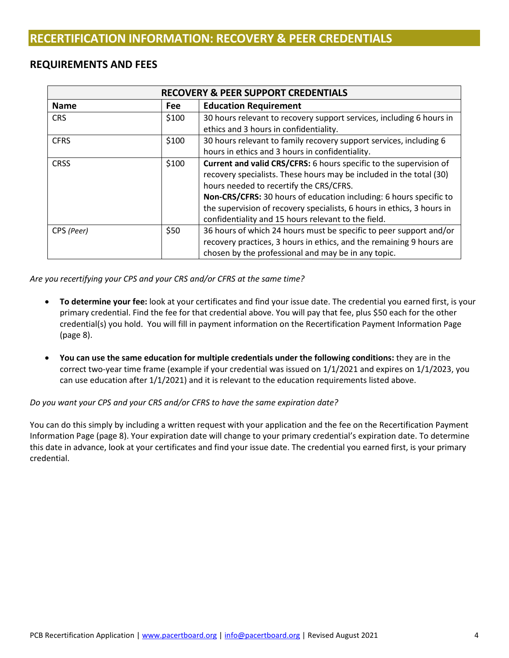## **REQUIREMENTS AND FEES**

|             |            | <b>RECOVERY &amp; PEER SUPPORT CREDENTIALS</b>                         |
|-------------|------------|------------------------------------------------------------------------|
| <b>Name</b> | <b>Fee</b> | <b>Education Requirement</b>                                           |
| <b>CRS</b>  | \$100      | 30 hours relevant to recovery support services, including 6 hours in   |
|             |            | ethics and 3 hours in confidentiality.                                 |
| <b>CFRS</b> | \$100      | 30 hours relevant to family recovery support services, including 6     |
|             |            | hours in ethics and 3 hours in confidentiality.                        |
| <b>CRSS</b> | \$100      | Current and valid CRS/CFRS: 6 hours specific to the supervision of     |
|             |            | recovery specialists. These hours may be included in the total (30)    |
|             |            | hours needed to recertify the CRS/CFRS.                                |
|             |            | Non-CRS/CFRS: 30 hours of education including: 6 hours specific to     |
|             |            | the supervision of recovery specialists, 6 hours in ethics, 3 hours in |
|             |            | confidentiality and 15 hours relevant to the field.                    |
| CPS (Peer)  | \$50       | 36 hours of which 24 hours must be specific to peer support and/or     |
|             |            | recovery practices, 3 hours in ethics, and the remaining 9 hours are   |
|             |            | chosen by the professional and may be in any topic.                    |

*Are you recertifying your CPS and your CRS and/or CFRS at the same time?*

- **To determine your fee:** look at your certificates and find your issue date. The credential you earned first, is your primary credential. Find the fee for that credential above. You will pay that fee, plus \$50 each for the other credential(s) you hold. You will fill in payment information on the Recertification Payment Information Page (page 8).
- **You can use the same education for multiple credentials under the following conditions:** they are in the correct two-year time frame (example if your credential was issued on 1/1/2021 and expires on 1/1/2023, you can use education after 1/1/2021) and it is relevant to the education requirements listed above.

*Do you want your CPS and your CRS and/or CFRS to have the same expiration date?*

You can do this simply by including a written request with your application and the fee on the Recertification Payment Information Page (page 8). Your expiration date will change to your primary credential's expiration date. To determine this date in advance, look at your certificates and find your issue date. The credential you earned first, is your primary credential.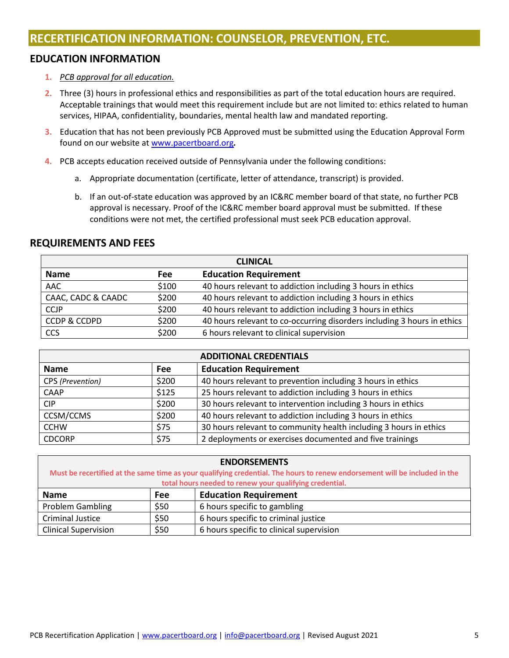## **EDUCATION INFORMATION**

- **1.** *PCB approval for all education.*
- **2.** Three (3) hours in professional ethics and responsibilities as part of the total education hours are required. Acceptable trainings that would meet this requirement include but are not limited to: ethics related to human services, HIPAA, confidentiality, boundaries, mental health law and mandated reporting.
- **3.** Education that has not been previously PCB Approved must be submitted using the Education Approval Form found on our website at www.pacertboard.org*.*
- **4.** PCB accepts education received outside of Pennsylvania under the following conditions:
	- a. Appropriate documentation (certificate, letter of attendance, transcript) is provided.
	- b. If an out-of-state education was approved by an IC&RC member board of that state, no further PCB approval is necessary. Proof of the IC&RC member board approval must be submitted. If these conditions were not met, the certified professional must seek PCB education approval.

## **REQUIREMENTS AND FEES**

|                         |            | <b>CLINICAL</b>                                                         |
|-------------------------|------------|-------------------------------------------------------------------------|
| <b>Name</b>             | <b>Fee</b> | <b>Education Requirement</b>                                            |
| AAC                     | \$100      | 40 hours relevant to addiction including 3 hours in ethics              |
| CAAC, CADC & CAADC      | \$200      | 40 hours relevant to addiction including 3 hours in ethics              |
| <b>CCJP</b>             | \$200      | 40 hours relevant to addiction including 3 hours in ethics              |
| <b>CCDP &amp; CCDPD</b> | \$200      | 40 hours relevant to co-occurring disorders including 3 hours in ethics |
| <b>CCS</b>              | \$200      | 6 hours relevant to clinical supervision                                |

|                  |            | <b>ADDITIONAL CREDENTIALS</b>                                     |
|------------------|------------|-------------------------------------------------------------------|
| <b>Name</b>      | <b>Fee</b> | <b>Education Requirement</b>                                      |
| CPS (Prevention) | \$200      | 40 hours relevant to prevention including 3 hours in ethics       |
| CAAP             | \$125      | 25 hours relevant to addiction including 3 hours in ethics        |
| <b>CIP</b>       | \$200      | 30 hours relevant to intervention including 3 hours in ethics     |
| CCSM/CCMS        | \$200      | 40 hours relevant to addiction including 3 hours in ethics        |
| <b>CCHW</b>      | \$75       | 30 hours relevant to community health including 3 hours in ethics |
| <b>CDCORP</b>    | \$75       | 2 deployments or exercises documented and five trainings          |

|                             |            | <b>ENDORSEMENTS</b>                                                                                                        |
|-----------------------------|------------|----------------------------------------------------------------------------------------------------------------------------|
|                             |            | Must be recertified at the same time as your qualifying credential. The hours to renew endorsement will be included in the |
|                             |            | total hours needed to renew your qualifying credential.                                                                    |
| <b>Name</b>                 | <b>Fee</b> | <b>Education Requirement</b>                                                                                               |
| <b>Problem Gambling</b>     | \$50       | 6 hours specific to gambling                                                                                               |
| <b>Criminal Justice</b>     | \$50       | 6 hours specific to criminal justice                                                                                       |
| <b>Clinical Supervision</b> | \$50       | 6 hours specific to clinical supervision                                                                                   |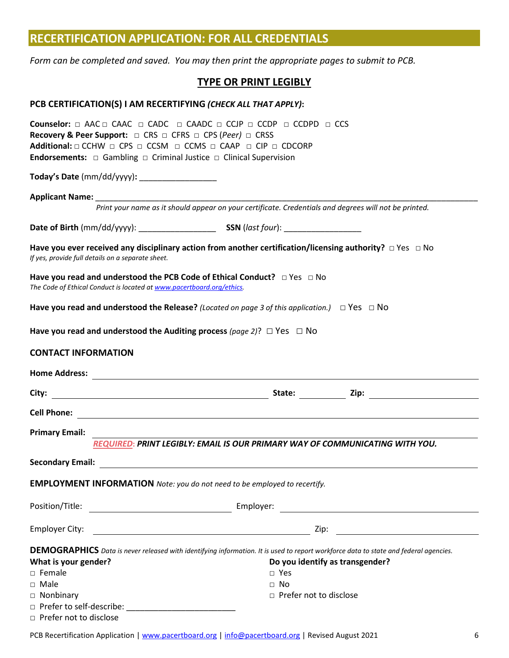|                                          | <b>RECERTIFICATION APPLICATION: FOR ALL CREDENTIALS</b>                                                                                                                                                                                                                                                                                                                       |
|------------------------------------------|-------------------------------------------------------------------------------------------------------------------------------------------------------------------------------------------------------------------------------------------------------------------------------------------------------------------------------------------------------------------------------|
|                                          | Form can be completed and saved. You may then print the appropriate pages to submit to PCB.                                                                                                                                                                                                                                                                                   |
|                                          | <b>TYPE OR PRINT LEGIBLY</b>                                                                                                                                                                                                                                                                                                                                                  |
|                                          | PCB CERTIFICATION(S) I AM RECERTIFYING (CHECK ALL THAT APPLY):                                                                                                                                                                                                                                                                                                                |
|                                          | <b>Counselor:</b> $\Box$ AAC $\Box$ CAAC $\Box$ CAADC $\Box$ CAADC $\Box$ CCDP $\Box$ CCDPD $\Box$ CCS<br><b>Recovery &amp; Peer Support:</b> □ CRS □ CFRS □ CPS (Peer) □ CRSS<br>Additional: $\Box$ CCHW $\Box$ CPS $\Box$ CCSM $\Box$ CCMS $\Box$ CAAP $\Box$ CIP $\Box$ CDCORP<br><b>Endorsements:</b> $\Box$ Gambling $\Box$ Criminal Justice $\Box$ Clinical Supervision |
|                                          | Today's Date (mm/dd/yyyy): ___________________                                                                                                                                                                                                                                                                                                                                |
|                                          | Applicant Name: Name and Applicant Name and Applicant Name and Applicant Manual Applicant Manual Applicant Manual Applicant Manual Applicant Manual Applicant Manual Applicant Manual Applicant Manual Applicant Manual Applic                                                                                                                                                |
|                                          | Print your name as it should appear on your certificate. Credentials and degrees will not be printed.                                                                                                                                                                                                                                                                         |
|                                          |                                                                                                                                                                                                                                                                                                                                                                               |
|                                          | Have you ever received any disciplinary action from another certification/licensing authority? $\Box$ Yes $\Box$ No<br>If yes, provide full details on a separate sheet.                                                                                                                                                                                                      |
|                                          | Have you read and understood the PCB Code of Ethical Conduct? $\Box$ Yes $\Box$ No<br>The Code of Ethical Conduct is located at www.pacertboard.org/ethics.                                                                                                                                                                                                                   |
|                                          | Have you read and understood the Release? (Located on page 3 of this application.) $\Box$ Yes $\Box$ No                                                                                                                                                                                                                                                                       |
|                                          | Have you read and understood the Auditing process (page 2)? $\Box$ Yes $\Box$ No                                                                                                                                                                                                                                                                                              |
| <b>CONTACT INFORMATION</b>               |                                                                                                                                                                                                                                                                                                                                                                               |
|                                          |                                                                                                                                                                                                                                                                                                                                                                               |
| City:                                    | State: <u>Laternal Zip:</u> 2ip:<br><u> 1989 - Johann Barbara, martin amerikan basar dan berasal dalam basar dalam basar dalam basar dalam basar dala</u>                                                                                                                                                                                                                     |
| <b>Cell Phone:</b>                       | <u> 1980 - John Stein, mars and de Britain and de Britain and de Britain and de Britain and de Britain and de Br</u>                                                                                                                                                                                                                                                          |
| <b>Primary Email:</b>                    |                                                                                                                                                                                                                                                                                                                                                                               |
|                                          | <b>REQUIRED: PRINT LEGIBLY: EMAIL IS OUR PRIMARY WAY OF COMMUNICATING WITH YOU.</b>                                                                                                                                                                                                                                                                                           |
|                                          |                                                                                                                                                                                                                                                                                                                                                                               |
|                                          | <b>EMPLOYMENT INFORMATION</b> Note: you do not need to be employed to recertify.                                                                                                                                                                                                                                                                                              |
|                                          |                                                                                                                                                                                                                                                                                                                                                                               |
| <b>Employer City:</b>                    | Zip:<br><u> 1989 - Johann Stoff, deutscher Stoffen und der Stoffen und der Stoffen und der Stoffen und der Stoffen und de</u><br><u> 1990 - Johann Barnett, fransk politiker (</u>                                                                                                                                                                                            |
|                                          | <b>DEMOGRAPHICS</b> Data is never released with identifying information. It is used to report workforce data to state and federal agencies.                                                                                                                                                                                                                                   |
| What is your gender?<br>$\square$ Female | Do you identify as transgender?<br>$\Box$ Yes                                                                                                                                                                                                                                                                                                                                 |
| $\Box$ Male                              | $\Box$ No                                                                                                                                                                                                                                                                                                                                                                     |
| $\Box$ Nonbinary                         | □ Prefer not to disclose                                                                                                                                                                                                                                                                                                                                                      |
|                                          |                                                                                                                                                                                                                                                                                                                                                                               |

□ Prefer not to disclose

PCB Recertification Application | www.pacertboard.org | info@pacertboard.org | Revised August 2021 6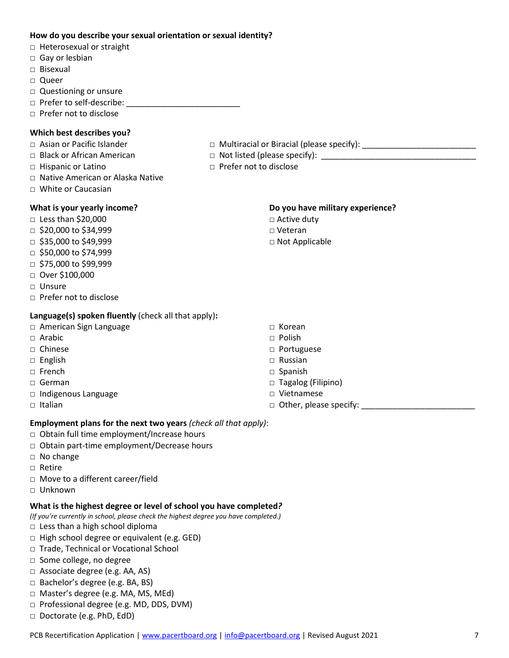## **How do you describe your sexual orientation or sexual identity?**

- □ Heterosexual or straight
- □ Gay or lesbian
- □ Bisexual
- □ Queer
- □ Questioning or unsure
- □ Prefer to self-describe: \_\_\_\_\_\_\_\_\_\_\_\_\_\_\_\_\_\_\_\_\_\_\_\_\_
- □ Prefer not to disclose

## **Which best describes you?**

- □ Asian or Pacific Islander □ Multiracial or Biracial (please specify): \_\_\_\_\_\_\_\_\_\_\_\_\_\_\_\_\_\_\_\_\_\_\_\_\_
- □ Black or African American □ Not listed (please specify): \_\_\_\_\_\_\_\_\_\_\_\_\_\_\_\_\_\_\_\_\_\_\_\_\_\_\_\_\_\_\_\_\_\_
- □ Hispanic or Latino □ □ □ Prefer not to disclose
- □ Native American or Alaska Native
- □ White or Caucasian

## **What is your yearly income?**

- □ Less than \$20,000
- $\Box$  \$20,000 to \$34,999
- $\Box$  \$35,000 to \$49,999
- □ \$50,000 to \$74,999
- □ \$75,000 to \$99,999
- □ Over \$100,000
- □ Unsure
- □ Prefer not to disclose

## **Language(s) spoken fluently** (check all that apply)**:**

- □ American Sign Language
- □ Arabic
- □ Chinese
- □ English
- □ French
- □ German
- □ Indigenous Language
- $\Box$  Italian

## **Do you have military experience?**

- □ Active duty
- □ Veteran
- □ Not Applicable

- □ Korean
- □ Polish
- □ Portuguese
- □ Russian
- □ Spanish
- □ Tagalog (Filipino)
- □ Vietnamese
- $\Box$  Other, please specify:

## **Employment plans for the next two years** *(check all that apply)*:

- □ Obtain full time employment/Increase hours
- □ Obtain part-time employment/Decrease hours
- □ No change
- □ Retire
- □ Move to a different career/field
- □ Unknown

## **What is the highest degree or level of school you have completed***?*

- *(If you're currently in school, please check the highest degree you have completed.)*
- □ Less than a high school diploma
- □ High school degree or equivalent (e.g. GED)
- □ Trade, Technical or Vocational School
- □ Some college, no degree
- □ Associate degree (e.g. AA, AS)
- □ Bachelor's degree (e.g. BA, BS)
- □ Master's degree (e.g. MA, MS, MEd)
- □ Professional degree (e.g. MD, DDS, DVM)
- □ Doctorate (e.g. PhD, EdD)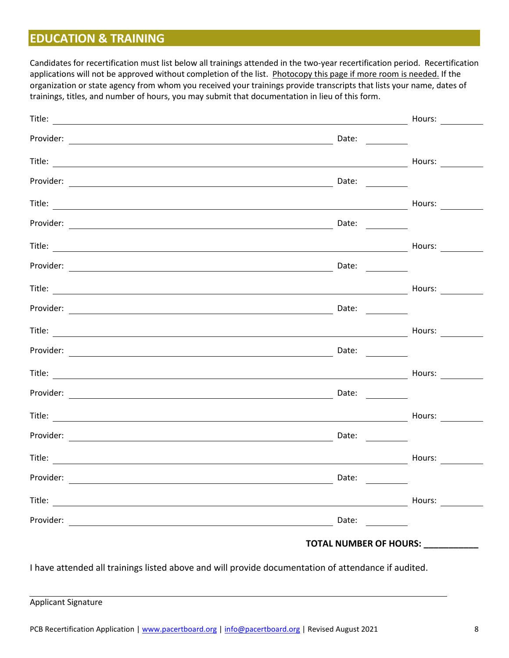## **EDUCATION & TRAINING**

Candidates for recertification must list below all trainings attended in the two-year recertification period. Recertification applications will not be approved without completion of the list. Photocopy this page if more room is needed. If the organization or state agency from whom you received your trainings provide transcripts that lists your name, dates of trainings, titles, and number of hours, you may submit that documentation in lieu of this form.

|           |                                                                                                                                                                                                                                                                                                                                                                                                               | Hours: $\qquad \qquad \qquad \qquad$             |
|-----------|---------------------------------------------------------------------------------------------------------------------------------------------------------------------------------------------------------------------------------------------------------------------------------------------------------------------------------------------------------------------------------------------------------------|--------------------------------------------------|
|           | Date: $\qquad \qquad$                                                                                                                                                                                                                                                                                                                                                                                         |                                                  |
|           |                                                                                                                                                                                                                                                                                                                                                                                                               | Hours: $\qquad \qquad \overline{\qquad \qquad }$ |
|           | Date: $\frac{1}{\sqrt{1-\frac{1}{2}}\sqrt{1-\frac{1}{2}}\left(1-\frac{1}{2}\right)}$                                                                                                                                                                                                                                                                                                                          |                                                  |
|           |                                                                                                                                                                                                                                                                                                                                                                                                               | Hours:                                           |
|           | Date:                                                                                                                                                                                                                                                                                                                                                                                                         |                                                  |
|           |                                                                                                                                                                                                                                                                                                                                                                                                               | Hours:                                           |
|           | Date: $\frac{1}{\sqrt{1-\frac{1}{2}}\sqrt{1-\frac{1}{2}}\sqrt{1-\frac{1}{2}}\sqrt{1-\frac{1}{2}}}}$                                                                                                                                                                                                                                                                                                           |                                                  |
|           |                                                                                                                                                                                                                                                                                                                                                                                                               | Hours:                                           |
|           | Date: $\frac{1}{\sqrt{1-\frac{1}{2}}\sqrt{1-\frac{1}{2}}\sqrt{1-\frac{1}{2}}\sqrt{1-\frac{1}{2}}}}$                                                                                                                                                                                                                                                                                                           |                                                  |
|           |                                                                                                                                                                                                                                                                                                                                                                                                               | Hours: $\qquad \qquad \overline{\qquad \qquad }$ |
|           | Date: $\_\_$                                                                                                                                                                                                                                                                                                                                                                                                  |                                                  |
|           |                                                                                                                                                                                                                                                                                                                                                                                                               | Hours: $\qquad \qquad \qquad$                    |
|           |                                                                                                                                                                                                                                                                                                                                                                                                               |                                                  |
|           |                                                                                                                                                                                                                                                                                                                                                                                                               | Hours:                                           |
|           | Date: $\frac{1}{\sqrt{1-\frac{1}{2}}\sqrt{1-\frac{1}{2}}\sqrt{1-\frac{1}{2}}\sqrt{1-\frac{1}{2}}\sqrt{1-\frac{1}{2}}\sqrt{1-\frac{1}{2}}\sqrt{1-\frac{1}{2}}\sqrt{1-\frac{1}{2}}\sqrt{1-\frac{1}{2}}\sqrt{1-\frac{1}{2}}\sqrt{1-\frac{1}{2}}\sqrt{1-\frac{1}{2}}\sqrt{1-\frac{1}{2}}\sqrt{1-\frac{1}{2}}\sqrt{1-\frac{1}{2}}\sqrt{1-\frac{1}{2}}\sqrt{1-\frac{1}{2}}\sqrt{1-\frac{1}{2}}\sqrt{1-\frac{1}{2}}$ |                                                  |
|           |                                                                                                                                                                                                                                                                                                                                                                                                               | Hours: $\qquad \qquad$                           |
| Provider: | Date:                                                                                                                                                                                                                                                                                                                                                                                                         |                                                  |
|           |                                                                                                                                                                                                                                                                                                                                                                                                               | Hours:                                           |
|           | Date:<br><u>and the state</u>                                                                                                                                                                                                                                                                                                                                                                                 |                                                  |
|           |                                                                                                                                                                                                                                                                                                                                                                                                               | <b>TOTAL NUMBER OF HOURS:</b>                    |

I have attended all trainings listed above and will provide documentation of attendance if audited.

Applicant Signature